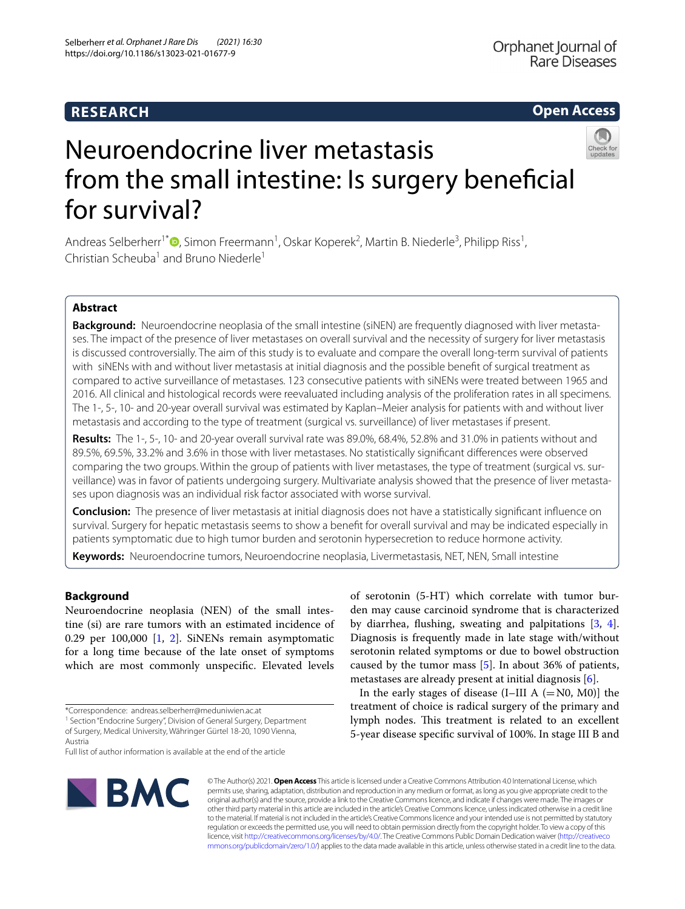## **RESEARCH**

## **Open Access**



# Neuroendocrine liver metastasis from the small intestine: Is surgery beneficial for survival?

Andreas Selberherr<sup>1\*</sup><sup>®</sup>[,](http://orcid.org/0000-0002-6545-7023) Simon Freermann<sup>1</sup>, Oskar Koperek<sup>2</sup>, Martin B. Niederle<sup>3</sup>, Philipp Riss<sup>1</sup>, Christian Scheuba<sup>1</sup> and Bruno Niederle<sup>1</sup>

## **Abstract**

**Background:** Neuroendocrine neoplasia of the small intestine (siNEN) are frequently diagnosed with liver metastases. The impact of the presence of liver metastases on overall survival and the necessity of surgery for liver metastasis is discussed controversially. The aim of this study is to evaluate and compare the overall long-term survival of patients with siNENs with and without liver metastasis at initial diagnosis and the possible beneft of surgical treatment as compared to active surveillance of metastases. 123 consecutive patients with siNENs were treated between 1965 and 2016. All clinical and histological records were reevaluated including analysis of the proliferation rates in all specimens. The 1-, 5-, 10- and 20-year overall survival was estimated by Kaplan–Meier analysis for patients with and without liver metastasis and according to the type of treatment (surgical vs. surveillance) of liver metastases if present.

**Results:** The 1-, 5-, 10- and 20-year overall survival rate was 89.0%, 68.4%, 52.8% and 31.0% in patients without and 89.5%, 69.5%, 33.2% and 3.6% in those with liver metastases. No statistically signifcant diferences were observed comparing the two groups. Within the group of patients with liver metastases, the type of treatment (surgical vs. surveillance) was in favor of patients undergoing surgery. Multivariate analysis showed that the presence of liver metastases upon diagnosis was an individual risk factor associated with worse survival.

**Conclusion:** The presence of liver metastasis at initial diagnosis does not have a statistically signifcant infuence on survival. Surgery for hepatic metastasis seems to show a beneft for overall survival and may be indicated especially in patients symptomatic due to high tumor burden and serotonin hypersecretion to reduce hormone activity.

**Keywords:** Neuroendocrine tumors, Neuroendocrine neoplasia, Livermetastasis, NET, NEN, Small intestine

## **Background**

Neuroendocrine neoplasia (NEN) of the small intestine (si) are rare tumors with an estimated incidence of 0.29 per 100,000 [[1,](#page-5-0) [2\]](#page-5-1). SiNENs remain asymptomatic for a long time because of the late onset of symptoms which are most commonly unspecifc. Elevated levels

Full list of author information is available at the end of the article



of serotonin (5-HT) which correlate with tumor burden may cause carcinoid syndrome that is characterized by diarrhea, fushing, sweating and palpitations [\[3](#page-5-2), [4](#page-5-3)]. Diagnosis is frequently made in late stage with/without serotonin related symptoms or due to bowel obstruction caused by the tumor mass [\[5](#page-5-4)]. In about 36% of patients, metastases are already present at initial diagnosis [\[6](#page-5-5)].

In the early stages of disease  $(I–III A (= N0, M0)]$  the treatment of choice is radical surgery of the primary and lymph nodes. This treatment is related to an excellent 5-year disease specifc survival of 100%. In stage III B and

© The Author(s) 2021. **Open Access** This article is licensed under a Creative Commons Attribution 4.0 International License, which permits use, sharing, adaptation, distribution and reproduction in any medium or format, as long as you give appropriate credit to the original author(s) and the source, provide a link to the Creative Commons licence, and indicate if changes were made. The images or other third party material in this article are included in the article's Creative Commons licence, unless indicated otherwise in a credit line to the material. If material is not included in the article's Creative Commons licence and your intended use is not permitted by statutory regulation or exceeds the permitted use, you will need to obtain permission directly from the copyright holder. To view a copy of this licence, visit [http://creativecommons.org/licenses/by/4.0/.](http://creativecommons.org/licenses/by/4.0/) The Creative Commons Public Domain Dedication waiver ([http://creativeco](http://creativecommons.org/publicdomain/zero/1.0/) [mmons.org/publicdomain/zero/1.0/](http://creativecommons.org/publicdomain/zero/1.0/)) applies to the data made available in this article, unless otherwise stated in a credit line to the data.

<sup>\*</sup>Correspondence: andreas.selberherr@meduniwien.ac.at

<sup>&</sup>lt;sup>1</sup> Section "Endocrine Surgery", Division of General Surgery, Department of Surgery, Medical University, Währinger Gürtel 18-20, 1090 Vienna, Austria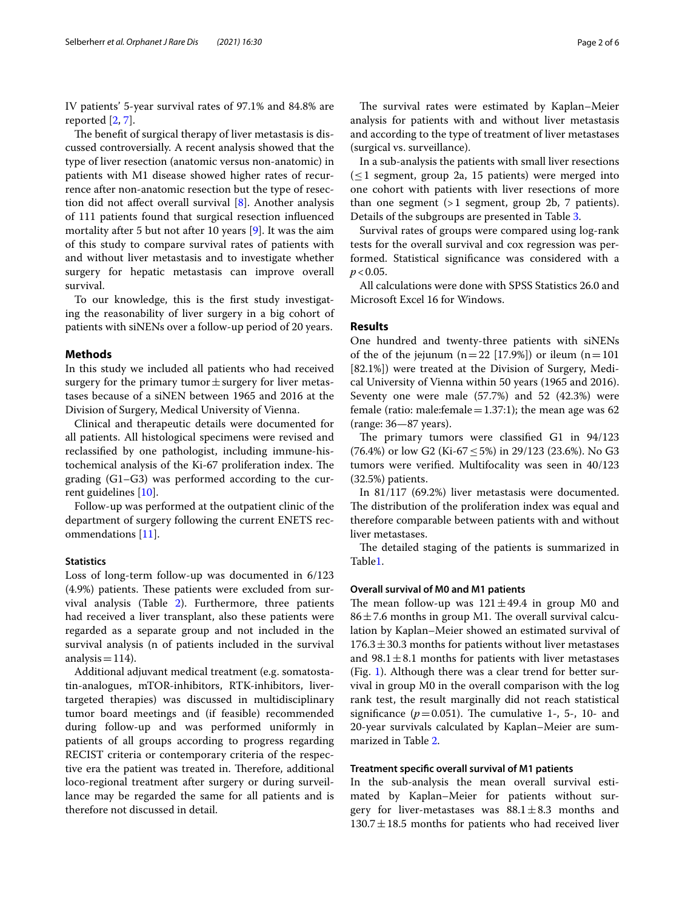IV patients' 5-year survival rates of 97.1% and 84.8% are reported [[2,](#page-5-1) [7](#page-5-6)].

The benefit of surgical therapy of liver metastasis is discussed controversially. A recent analysis showed that the type of liver resection (anatomic versus non-anatomic) in patients with M1 disease showed higher rates of recurrence after non-anatomic resection but the type of resection did not afect overall survival [[8\]](#page-5-7). Another analysis of 111 patients found that surgical resection infuenced mortality after 5 but not after 10 years [[9\]](#page-5-8). It was the aim of this study to compare survival rates of patients with and without liver metastasis and to investigate whether surgery for hepatic metastasis can improve overall survival.

To our knowledge, this is the frst study investigating the reasonability of liver surgery in a big cohort of patients with siNENs over a follow-up period of 20 years.

#### **Methods**

In this study we included all patients who had received surgery for the primary tumor $\pm$ surgery for liver metastases because of a siNEN between 1965 and 2016 at the Division of Surgery, Medical University of Vienna.

Clinical and therapeutic details were documented for all patients. All histological specimens were revised and reclassifed by one pathologist, including immune-histochemical analysis of the Ki-67 proliferation index. The grading (G1–G3) was performed according to the current guidelines [[10](#page-5-9)].

Follow-up was performed at the outpatient clinic of the department of surgery following the current ENETS recommendations [[11\]](#page-5-10).

## **Statistics**

Loss of long-term follow-up was documented in 6/123 (4.9%) patients. These patients were excluded from survival analysis (Table [2](#page-3-0)). Furthermore, three patients had received a liver transplant, also these patients were regarded as a separate group and not included in the survival analysis (n of patients included in the survival analysis =  $114$ ).

Additional adjuvant medical treatment (e.g. somatostatin-analogues, mTOR-inhibitors, RTK-inhibitors, livertargeted therapies) was discussed in multidisciplinary tumor board meetings and (if feasible) recommended during follow-up and was performed uniformly in patients of all groups according to progress regarding RECIST criteria or contemporary criteria of the respective era the patient was treated in. Therefore, additional loco-regional treatment after surgery or during surveillance may be regarded the same for all patients and is therefore not discussed in detail.

The survival rates were estimated by Kaplan–Meier analysis for patients with and without liver metastasis and according to the type of treatment of liver metastases (surgical vs. surveillance).

In a sub-analysis the patients with small liver resections  $(\leq 1$  segment, group 2a, 15 patients) were merged into one cohort with patients with liver resections of more than one segment (>1 segment, group 2b, 7 patients). Details of the subgroups are presented in Table [3](#page-3-1).

Survival rates of groups were compared using log-rank tests for the overall survival and cox regression was performed. Statistical signifcance was considered with a  $p < 0.05$ .

All calculations were done with SPSS Statistics 26.0 and Microsoft Excel 16 for Windows.

## **Results**

One hundred and twenty-three patients with siNENs of the of the jejunum  $(n=22 [17.9\%])$  or ileum  $(n=101$ [82.1%]) were treated at the Division of Surgery, Medical University of Vienna within 50 years (1965 and 2016). Seventy one were male (57.7%) and 52 (42.3%) were female (ratio: male:female = 1.37:1); the mean age was 62 (range: 36—87 years).

The primary tumors were classified G1 in 94/123 (76.4%) or low G2 (Ki-67 ≤ 5%) in 29/123 (23.6%). No G3 tumors were verifed. Multifocality was seen in 40/123 (32.5%) patients.

In 81/117 (69.2%) liver metastasis were documented. The distribution of the proliferation index was equal and therefore comparable between patients with and without liver metastases.

The detailed staging of the patients is summarized in Table[1.](#page-2-0)

#### **Overall survival of M0 and M1 patients**

The mean follow-up was  $121 \pm 49.4$  in group M0 and  $86 \pm 7.6$  months in group M1. The overall survival calculation by Kaplan–Meier showed an estimated survival of  $176.3 \pm 30.3$  months for patients without liver metastases and  $98.1 \pm 8.1$  months for patients with liver metastases (Fig. [1\)](#page-2-1). Although there was a clear trend for better survival in group M0 in the overall comparison with the log rank test, the result marginally did not reach statistical significance  $(p=0.051)$ . The cumulative 1-, 5-, 10- and 20-year survivals calculated by Kaplan–Meier are summarized in Table [2](#page-3-0).

## **Treatment specifc overall survival of M1 patients**

In the sub-analysis the mean overall survival estimated by Kaplan–Meier for patients without surgery for liver-metastases was  $88.1 \pm 8.3$  months and  $130.7 \pm 18.5$  months for patients who had received liver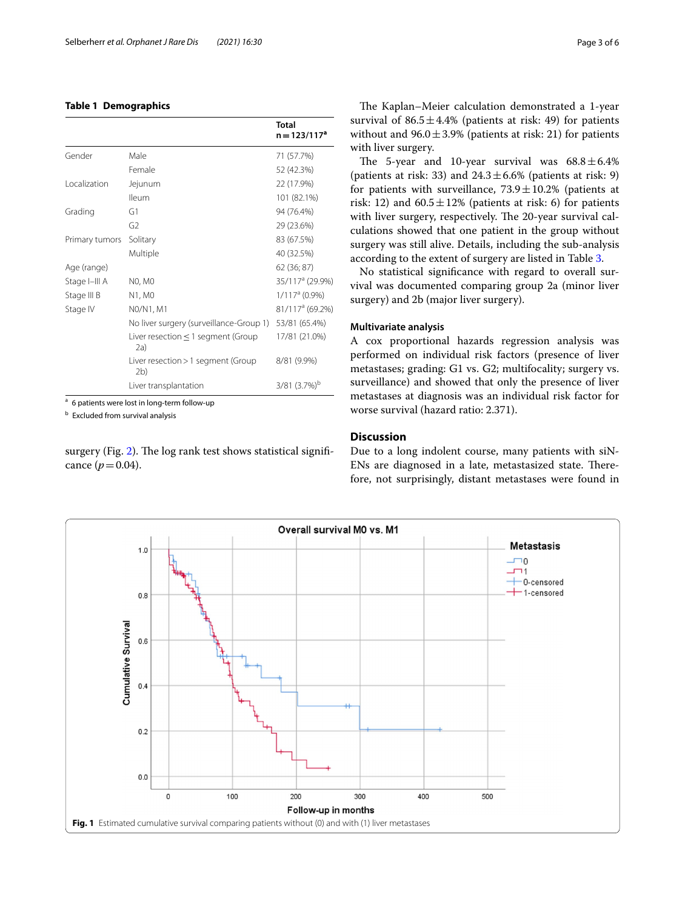## <span id="page-2-0"></span>**Table 1 Demographics**

|                |                                                      | Total<br>$n = 123/117a$     |
|----------------|------------------------------------------------------|-----------------------------|
| Gender         | Male                                                 | 71 (57.7%)                  |
|                | Female                                               | 52 (42.3%)                  |
| Localization   | Jejunum                                              | 22 (17.9%)                  |
|                | <b>Ileum</b>                                         | 101 (82.1%)                 |
| Grading        | G1                                                   | 94 (76.4%)                  |
|                | G2                                                   | 29 (23.6%)                  |
| Primary tumors | Solitary                                             | 83 (67.5%)                  |
|                | Multiple                                             | 40 (32.5%)                  |
| Age (range)    |                                                      | 62 (36; 87)                 |
| Stage I-III A  | <b>NO, MO</b>                                        | 35/117 <sup>a</sup> (29.9%) |
| Stage III B    | N1, M0                                               | $1/117a$ (0.9%)             |
| Stage IV       | N0/N1, M1                                            | 81/117 <sup>a</sup> (69.2%) |
|                | No liver surgery (surveillance-Group 1)              | 53/81 (65.4%)               |
|                | Liver resection $\leq 1$ segment (Group<br>2a)       | 17/81 (21.0%)               |
|                | Liver resection > 1 segment (Group<br>2 <sub>b</sub> | 8/81 (9.9%)                 |
|                | Liver transplantation                                | $3/81$ $(3.7%)^b$           |

<sup>a</sup> 6 patients were lost in long-term follow-up

<sup>b</sup> Excluded from survival analysis

surgery (Fig. [2\)](#page-3-2). The log rank test shows statistical significance  $(p = 0.04)$ .

The Kaplan–Meier calculation demonstrated a 1-year survival of  $86.5 \pm 4.4\%$  (patients at risk: 49) for patients without and  $96.0 \pm 3.9\%$  (patients at risk: 21) for patients with liver surgery.

The 5-year and 10-year survival was  $68.8 \pm 6.4\%$ (patients at risk: 33) and  $24.3 \pm 6.6\%$  (patients at risk: 9) for patients with surveillance,  $73.9 \pm 10.2$ % (patients at risk: 12) and  $60.5 \pm 12\%$  (patients at risk: 6) for patients with liver surgery, respectively. The 20-year survival calculations showed that one patient in the group without surgery was still alive. Details, including the sub-analysis according to the extent of surgery are listed in Table [3](#page-3-1).

No statistical signifcance with regard to overall survival was documented comparing group 2a (minor liver surgery) and 2b (major liver surgery).

## **Multivariate analysis**

A cox proportional hazards regression analysis was performed on individual risk factors (presence of liver metastases; grading: G1 vs. G2; multifocality; surgery vs. surveillance) and showed that only the presence of liver metastases at diagnosis was an individual risk factor for worse survival (hazard ratio: 2.371).

## **Discussion**

Due to a long indolent course, many patients with siN-ENs are diagnosed in a late, metastasized state. Therefore, not surprisingly, distant metastases were found in

<span id="page-2-1"></span>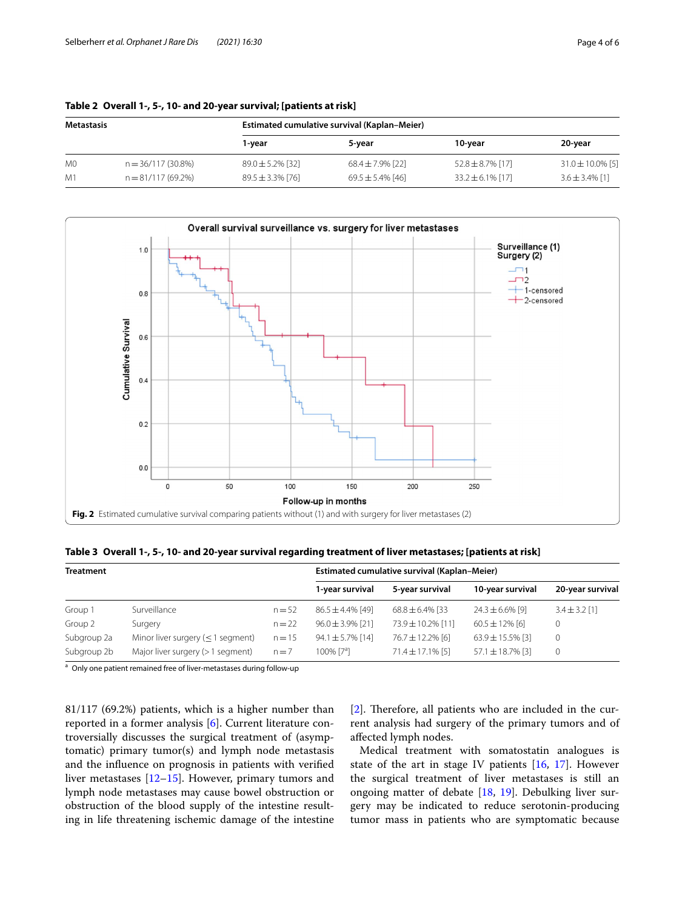| Metastasis     |                      |                       | Estimated cumulative survival (Kaplan-Meier) |                       |                       |  |  |  |  |
|----------------|----------------------|-----------------------|----------------------------------------------|-----------------------|-----------------------|--|--|--|--|
|                |                      | 1-year                | 5-year                                       | 10-vear               | 20-year               |  |  |  |  |
| M <sub>0</sub> | n = 36/117 (30.8%)   | $89.0 \pm 5.2\%$ [32] | $68.4 \pm 7.9\%$ [22]                        | $52.8 \pm 8.7\%$ [17] | $31.0 \pm 10.0\%$ [5] |  |  |  |  |
| M1             | $n = 81/117(69.2\%)$ | $89.5 \pm 3.3\%$ [76] | $69.5 \pm 5.4\%$ [46]                        | $33.2 \pm 6.1\%$ [17] | $3.6 \pm 3.4\%$ [1]   |  |  |  |  |

<span id="page-3-0"></span>

|  |  |  |  |  | Table 2 Overall 1-, 5-, 10- and 20-year survival; [patients at risk] |
|--|--|--|--|--|----------------------------------------------------------------------|
|--|--|--|--|--|----------------------------------------------------------------------|



<span id="page-3-2"></span><span id="page-3-1"></span>**Table 3 Overall 1-, 5-, 10- and 20-year survival regarding treatment of liver metastases; [patients at risk]**

| <b>Treatment</b> |                                         |          | Estimated cumulative survival (Kaplan-Meier) |                       |                       |                   |  |
|------------------|-----------------------------------------|----------|----------------------------------------------|-----------------------|-----------------------|-------------------|--|
|                  |                                         |          | 1-year survival                              | 5-year survival       | 10-year survival      | 20-year survival  |  |
| Group 1          | Surveillance                            | $n = 52$ | $86.5 \pm 4.4\%$ [49]                        | $68.8 \pm 6.4\%$ [33  | $24.3 \pm 6.6\%$ [9]  | $3.4 \pm 3.2$ [1] |  |
| Group 2          | Surgery                                 | $n = 22$ | $96.0 \pm 3.9\%$ [21]                        | 73.9 ± 10.2% [11]     | $60.5 \pm 12\%$ [6]   |                   |  |
| Subgroup 2a      | Minor liver surgery ( $\leq$ 1 segment) | $n = 15$ | $94.1 \pm 5.7\%$ [14]                        | 76.7 ± 12.2% [6]      | $63.9 \pm 15.5\%$ [3] | $\mathbf 0$       |  |
| Subgroup 2b      | Major liver surgery $(>1$ segment)      | $n = 7$  | $100\%$ [7 <sup>a</sup> ]                    | $71.4 \pm 17.1\%$ [5] | $57.1 \pm 18.7\%$ [3] | 0                 |  |

<sup>a</sup> Only one patient remained free of liver-metastases during follow-up

81/117 (69.2%) patients, which is a higher number than reported in a former analysis [[6\]](#page-5-5). Current literature controversially discusses the surgical treatment of (asymptomatic) primary tumor(s) and lymph node metastasis and the infuence on prognosis in patients with verifed liver metastases [\[12](#page-5-11)[–15\]](#page-5-12). However, primary tumors and lymph node metastases may cause bowel obstruction or obstruction of the blood supply of the intestine resulting in life threatening ischemic damage of the intestine [[2\]](#page-5-1). Therefore, all patients who are included in the current analysis had surgery of the primary tumors and of afected lymph nodes.

Medical treatment with somatostatin analogues is state of the art in stage IV patients [[16,](#page-5-13) [17\]](#page-5-14). However the surgical treatment of liver metastases is still an ongoing matter of debate [[18,](#page-5-15) [19\]](#page-5-16). Debulking liver surgery may be indicated to reduce serotonin-producing tumor mass in patients who are symptomatic because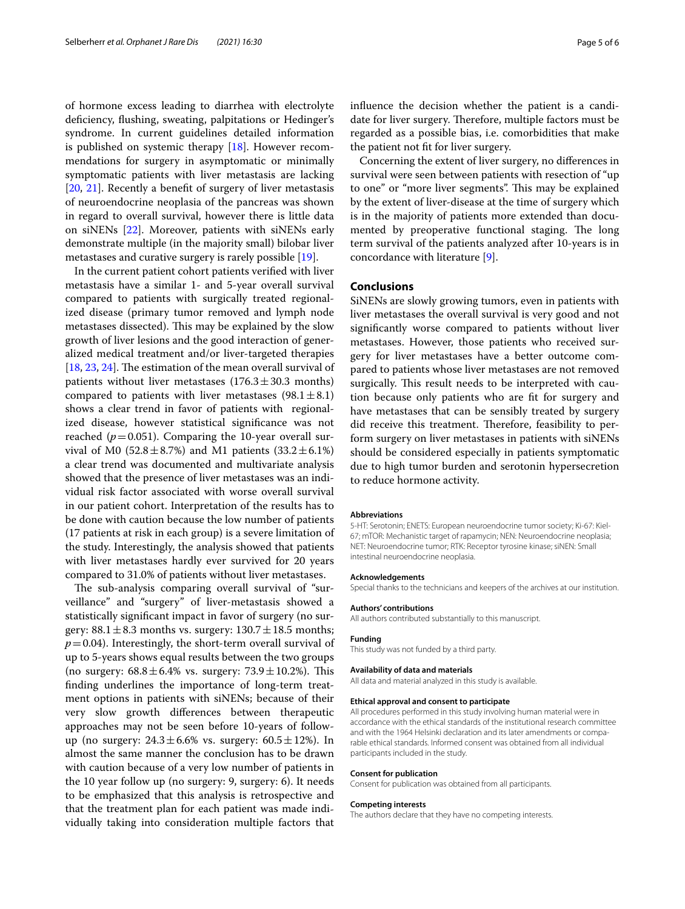of hormone excess leading to diarrhea with electrolyte defciency, fushing, sweating, palpitations or Hedinger's syndrome. In current guidelines detailed information is published on systemic therapy [\[18](#page-5-15)]. However recommendations for surgery in asymptomatic or minimally symptomatic patients with liver metastasis are lacking [[20,](#page-5-17) [21\]](#page-5-18). Recently a beneft of surgery of liver metastasis of neuroendocrine neoplasia of the pancreas was shown in regard to overall survival, however there is little data on siNENs [\[22\]](#page-5-19). Moreover, patients with siNENs early demonstrate multiple (in the majority small) bilobar liver metastases and curative surgery is rarely possible [[19\]](#page-5-16).

In the current patient cohort patients verifed with liver metastasis have a similar 1- and 5-year overall survival compared to patients with surgically treated regionalized disease (primary tumor removed and lymph node metastases dissected). This may be explained by the slow growth of liver lesions and the good interaction of generalized medical treatment and/or liver-targeted therapies  $[18, 23, 24]$  $[18, 23, 24]$  $[18, 23, 24]$  $[18, 23, 24]$  $[18, 23, 24]$ . The estimation of the mean overall survival of patients without liver metastases  $(176.3 \pm 30.3 \text{ months})$ compared to patients with liver metastases  $(98.1 \pm 8.1)$ shows a clear trend in favor of patients with regionalized disease, however statistical signifcance was not reached  $(p=0.051)$ . Comparing the 10-year overall survival of M0 (52.8 $\pm$ 8.7%) and M1 patients (33.2 $\pm$ 6.1%) a clear trend was documented and multivariate analysis showed that the presence of liver metastases was an individual risk factor associated with worse overall survival in our patient cohort. Interpretation of the results has to be done with caution because the low number of patients (17 patients at risk in each group) is a severe limitation of the study. Interestingly, the analysis showed that patients with liver metastases hardly ever survived for 20 years compared to 31.0% of patients without liver metastases.

The sub-analysis comparing overall survival of "surveillance" and "surgery" of liver-metastasis showed a statistically signifcant impact in favor of surgery (no surgery:  $88.1 \pm 8.3$  months vs. surgery:  $130.7 \pm 18.5$  months;  $p=0.04$ ). Interestingly, the short-term overall survival of up to 5-years shows equal results between the two groups (no surgery:  $68.8 \pm 6.4$ % vs. surgery:  $73.9 \pm 10.2$ %). This fnding underlines the importance of long-term treatment options in patients with siNENs; because of their very slow growth diferences between therapeutic approaches may not be seen before 10-years of followup (no surgery:  $24.3 \pm 6.6\%$  vs. surgery:  $60.5 \pm 12\%$ ). In almost the same manner the conclusion has to be drawn with caution because of a very low number of patients in the 10 year follow up (no surgery: 9, surgery: 6). It needs to be emphasized that this analysis is retrospective and that the treatment plan for each patient was made individually taking into consideration multiple factors that infuence the decision whether the patient is a candidate for liver surgery. Therefore, multiple factors must be regarded as a possible bias, i.e. comorbidities that make the patient not ft for liver surgery.

Concerning the extent of liver surgery, no diferences in survival were seen between patients with resection of "up to one" or "more liver segments". This may be explained by the extent of liver-disease at the time of surgery which is in the majority of patients more extended than documented by preoperative functional staging. The long term survival of the patients analyzed after 10-years is in concordance with literature [[9\]](#page-5-8).

## **Conclusions**

SiNENs are slowly growing tumors, even in patients with liver metastases the overall survival is very good and not signifcantly worse compared to patients without liver metastases. However, those patients who received surgery for liver metastases have a better outcome compared to patients whose liver metastases are not removed surgically. This result needs to be interpreted with caution because only patients who are ft for surgery and have metastases that can be sensibly treated by surgery did receive this treatment. Therefore, feasibility to perform surgery on liver metastases in patients with siNENs should be considered especially in patients symptomatic due to high tumor burden and serotonin hypersecretion to reduce hormone activity.

#### **Abbreviations**

5-HT: Serotonin; ENETS: European neuroendocrine tumor society; Ki-67: Kiel-67; mTOR: Mechanistic target of rapamycin; NEN: Neuroendocrine neoplasia; NET: Neuroendocrine tumor; RTK: Receptor tyrosine kinase; siNEN: Small intestinal neuroendocrine neoplasia.

#### **Acknowledgements**

**Authors' contributions**

Special thanks to the technicians and keepers of the archives at our institution.

## All authors contributed substantially to this manuscript.

#### **Funding**

This study was not funded by a third party.

#### **Availability of data and materials**

All data and material analyzed in this study is available.

#### **Ethical approval and consent to participate**

All procedures performed in this study involving human material were in accordance with the ethical standards of the institutional research committee and with the 1964 Helsinki declaration and its later amendments or comparable ethical standards. Informed consent was obtained from all individual participants included in the study.

#### **Consent for publication**

Consent for publication was obtained from all participants.

#### **Competing interests**

The authors declare that they have no competing interests.